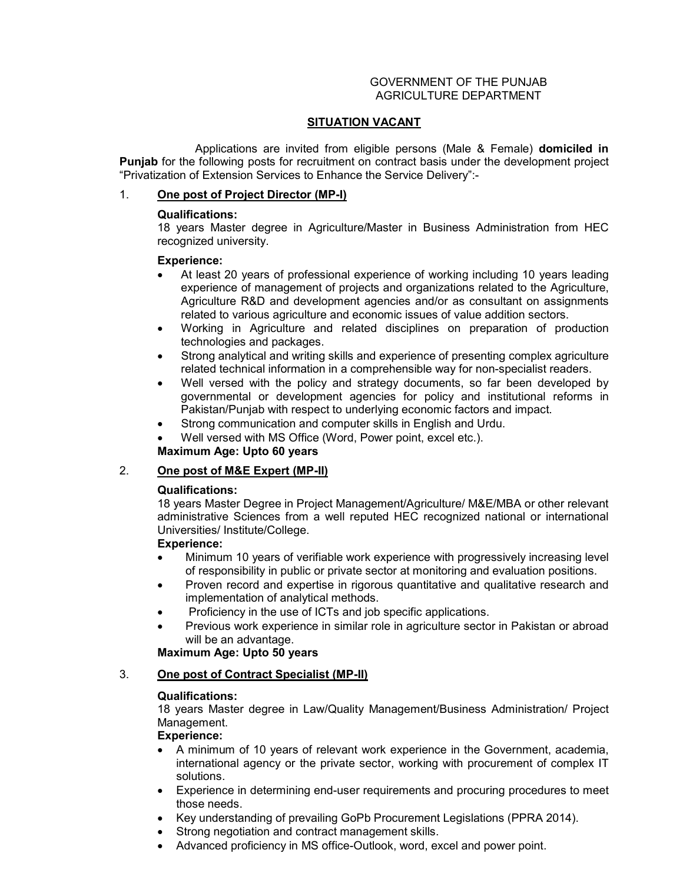### GOVERNMENT OF THE PUNJAB AGRICULTURE DEPARTMENT

# **SITUATION VACANT**

 Applications are invited from eligible persons (Male & Female) **domiciled in**  Punjab for the following posts for recruitment on contract basis under the development project "Privatization of Extension Services to Enhance the Service Delivery":-

# 1. **One post of Project Director (MP-I)**

# **Qualifications:**

18 years Master degree in Agriculture/Master in Business Administration from HEC recognized university.

# **Experience:**

- At least 20 years of professional experience of working including 10 years leading experience of management of projects and organizations related to the Agriculture, Agriculture R&D and development agencies and/or as consultant on assignments related to various agriculture and economic issues of value addition sectors.
- Working in Agriculture and related disciplines on preparation of production technologies and packages.
- Strong analytical and writing skills and experience of presenting complex agriculture related technical information in a comprehensible way for non-specialist readers.
- Well versed with the policy and strategy documents, so far been developed by governmental or development agencies for policy and institutional reforms in Pakistan/Punjab with respect to underlying economic factors and impact.
- Strong communication and computer skills in English and Urdu.

Well versed with MS Office (Word, Power point, excel etc.).

# **Maximum Age: Upto 60 years**

# 2. **One post of M&E Expert (MP-II)**

# **Qualifications:**

18 years Master Degree in Project Management/Agriculture/ M&E/MBA or other relevant administrative Sciences from a well reputed HEC recognized national or international Universities/ Institute/College.

# **Experience:**

- Minimum 10 years of verifiable work experience with progressively increasing level of responsibility in public or private sector at monitoring and evaluation positions.
- Proven record and expertise in rigorous quantitative and qualitative research and implementation of analytical methods.
- Proficiency in the use of ICTs and job specific applications.
- Previous work experience in similar role in agriculture sector in Pakistan or abroad will be an advantage.

# **Maximum Age: Upto 50 years**

# 3. **One post of Contract Specialist (MP-II)**

# **Qualifications:**

18 years Master degree in Law/Quality Management/Business Administration/ Project Management.

# **Experience:**

- A minimum of 10 years of relevant work experience in the Government, academia, international agency or the private sector, working with procurement of complex IT solutions.
- Experience in determining end-user requirements and procuring procedures to meet those needs.
- Key understanding of prevailing GoPb Procurement Legislations (PPRA 2014).
- Strong negotiation and contract management skills.
- Advanced proficiency in MS office-Outlook, word, excel and power point.